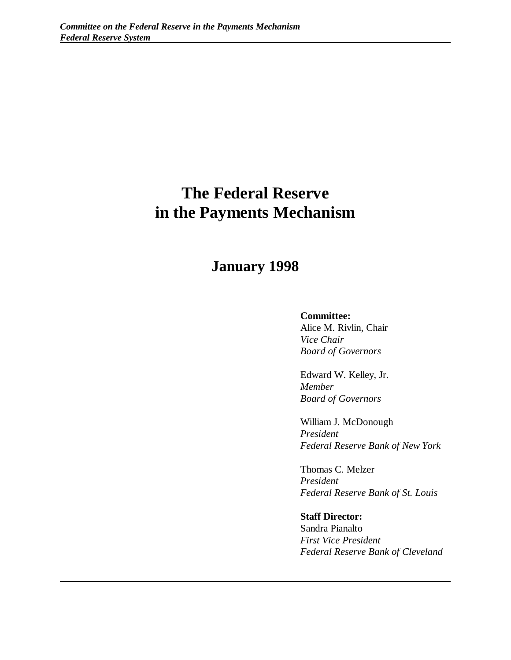# **The Federal Reserve in the Payments Mechanism**

## **January 1998**

#### **Committee:**

Alice M. Rivlin, Chair *Vice Chair Board of Governors*

Edward W. Kelley, Jr. *Member Board of Governors*

William J. McDonough *President Federal Reserve Bank of New York*

Thomas C. Melzer *President Federal Reserve Bank of St. Louis*

**Staff Director:** Sandra Pianalto *First Vice President Federal Reserve Bank of Cleveland*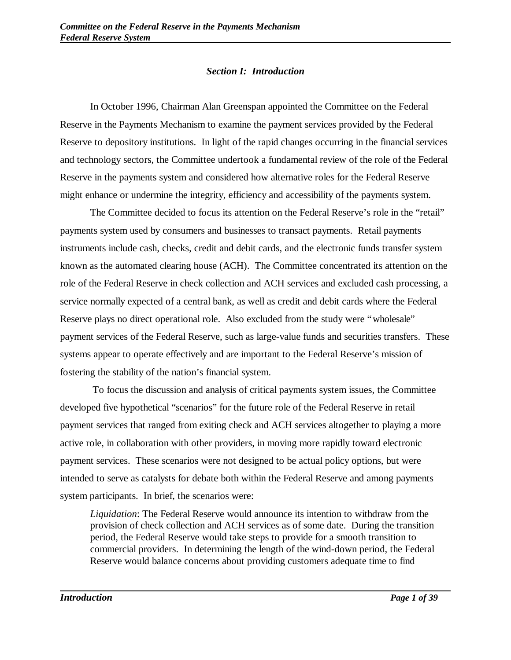### *Section I: Introduction*

In October 1996, Chairman Alan Greenspan appointed the Committee on the Federal Reserve in the Payments Mechanism to examine the payment services provided by the Federal Reserve to depository institutions. In light of the rapid changes occurring in the financial services and technology sectors, the Committee undertook a fundamental review of the role of the Federal Reserve in the payments system and considered how alternative roles for the Federal Reserve might enhance or undermine the integrity, efficiency and accessibility of the payments system.

The Committee decided to focus its attention on the Federal Reserve's role in the "retail" payments system used by consumers and businesses to transact payments. Retail payments instruments include cash, checks, credit and debit cards, and the electronic funds transfer system known as the automated clearing house (ACH). The Committee concentrated its attention on the role of the Federal Reserve in check collection and ACH services and excluded cash processing, a service normally expected of a central bank, as well as credit and debit cards where the Federal Reserve plays no direct operational role. Also excluded from the study were "wholesale" payment services of the Federal Reserve, such as large-value funds and securities transfers. These systems appear to operate effectively and are important to the Federal Reserve's mission of fostering the stability of the nation's financial system.

 To focus the discussion and analysis of critical payments system issues, the Committee developed five hypothetical "scenarios" for the future role of the Federal Reserve in retail payment services that ranged from exiting check and ACH services altogether to playing a more active role, in collaboration with other providers, in moving more rapidly toward electronic payment services. These scenarios were not designed to be actual policy options, but were intended to serve as catalysts for debate both within the Federal Reserve and among payments system participants. In brief, the scenarios were:

*Liquidation*: The Federal Reserve would announce its intention to withdraw from the provision of check collection and ACH services as of some date. During the transition period, the Federal Reserve would take steps to provide for a smooth transition to commercial providers. In determining the length of the wind-down period, the Federal Reserve would balance concerns about providing customers adequate time to find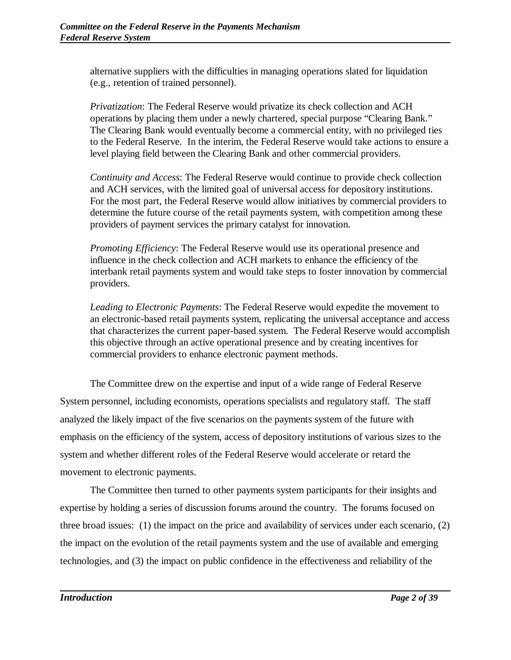alternative suppliers with the difficulties in managing operations slated for liquidation (e.g., retention of trained personnel).

*Privatization*: The Federal Reserve would privatize its check collection and ACH operations by placing them under a newly chartered, special purpose "Clearing Bank." The Clearing Bank would eventually become a commercial entity, with no privileged ties to the Federal Reserve. In the interim, the Federal Reserve would take actions to ensure a level playing field between the Clearing Bank and other commercial providers.

*Continuity and Access*: The Federal Reserve would continue to provide check collection and ACH services, with the limited goal of universal access for depository institutions. For the most part, the Federal Reserve would allow initiatives by commercial providers to determine the future course of the retail payments system, with competition among these providers of payment services the primary catalyst for innovation.

*Promoting Efficiency*: The Federal Reserve would use its operational presence and influence in the check collection and ACH markets to enhance the efficiency of the interbank retail payments system and would take steps to foster innovation by commercial providers.

*Leading to Electronic Payments*: The Federal Reserve would expedite the movement to an electronic-based retail payments system, replicating the universal acceptance and access that characterizes the current paper-based system. The Federal Reserve would accomplish this objective through an active operational presence and by creating incentives for commercial providers to enhance electronic payment methods.

The Committee drew on the expertise and input of a wide range of Federal Reserve System personnel, including economists, operations specialists and regulatory staff. The staff analyzed the likely impact of the five scenarios on the payments system of the future with emphasis on the efficiency of the system, access of depository institutions of various sizes to the system and whether different roles of the Federal Reserve would accelerate or retard the movement to electronic payments.

The Committee then turned to other payments system participants for their insights and expertise by holding a series of discussion forums around the country. The forums focused on three broad issues: (1) the impact on the price and availability of services under each scenario, (2) the impact on the evolution of the retail payments system and the use of available and emerging technologies, and (3) the impact on public confidence in the effectiveness and reliability of the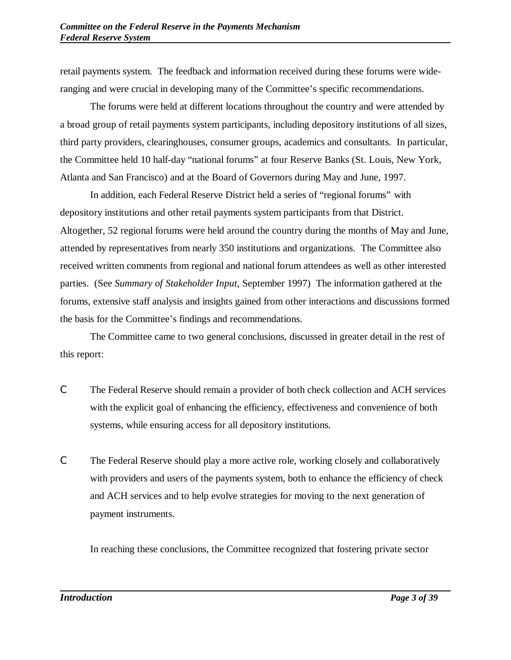retail payments system. The feedback and information received during these forums were wideranging and were crucial in developing many of the Committee's specific recommendations.

The forums were held at different locations throughout the country and were attended by a broad group of retail payments system participants, including depository institutions of all sizes, third party providers, clearinghouses, consumer groups, academics and consultants. In particular, the Committee held 10 half-day "national forums" at four Reserve Banks (St. Louis, New York, Atlanta and San Francisco) and at the Board of Governors during May and June, 1997.

In addition, each Federal Reserve District held a series of "regional forums" with depository institutions and other retail payments system participants from that District. Altogether, 52 regional forums were held around the country during the months of May and June, attended by representatives from nearly 350 institutions and organizations. The Committee also received written comments from regional and national forum attendees as well as other interested parties. (See *Summary of Stakeholder Input*, September 1997) The information gathered at the forums, extensive staff analysis and insights gained from other interactions and discussions formed the basis for the Committee's findings and recommendations.

The Committee came to two general conclusions, discussed in greater detail in the rest of this report:

- C The Federal Reserve should remain a provider of both check collection and ACH services with the explicit goal of enhancing the efficiency, effectiveness and convenience of both systems, while ensuring access for all depository institutions.
- C The Federal Reserve should play a more active role, working closely and collaboratively with providers and users of the payments system, both to enhance the efficiency of check and ACH services and to help evolve strategies for moving to the next generation of payment instruments.

In reaching these conclusions, the Committee recognized that fostering private sector

*Introduction Page 3 of 39*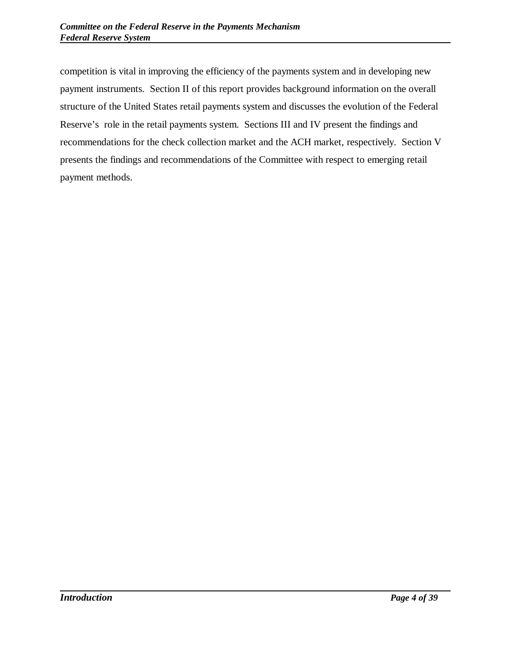competition is vital in improving the efficiency of the payments system and in developing new payment instruments. Section II of this report provides background information on the overall structure of the United States retail payments system and discusses the evolution of the Federal Reserve's role in the retail payments system. Sections III and IV present the findings and recommendations for the check collection market and the ACH market, respectively. Section V presents the findings and recommendations of the Committee with respect to emerging retail payment methods.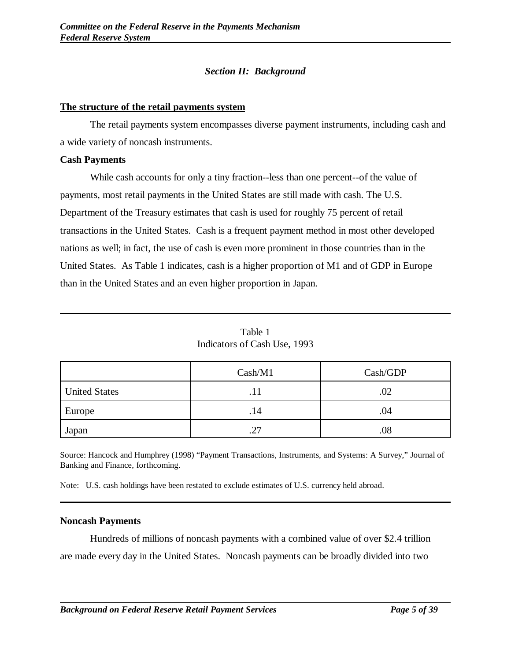## *Section II: Background*

#### **The structure of the retail payments system**

The retail payments system encompasses diverse payment instruments, including cash and a wide variety of noncash instruments.

#### **Cash Payments**

While cash accounts for only a tiny fraction--less than one percent--of the value of payments, most retail payments in the United States are still made with cash. The U.S. Department of the Treasury estimates that cash is used for roughly 75 percent of retail transactions in the United States. Cash is a frequent payment method in most other developed nations as well; in fact, the use of cash is even more prominent in those countries than in the United States. As Table 1 indicates, cash is a higher proportion of M1 and of GDP in Europe than in the United States and an even higher proportion in Japan.

|                      | Cash/M1 | Cash/GDP |
|----------------------|---------|----------|
| <b>United States</b> |         | .02      |
| Europe               | . 14    | .04      |
| Japan                | 27<br>ت | .08      |

Table 1 Indicators of Cash Use, 1993

Source: Hancock and Humphrey (1998) "Payment Transactions, Instruments, and Systems: A Survey," Journal of Banking and Finance, forthcoming.

Note: U.S. cash holdings have been restated to exclude estimates of U.S. currency held abroad.

#### **Noncash Payments**

Hundreds of millions of noncash payments with a combined value of over \$2.4 trillion are made every day in the United States. Noncash payments can be broadly divided into two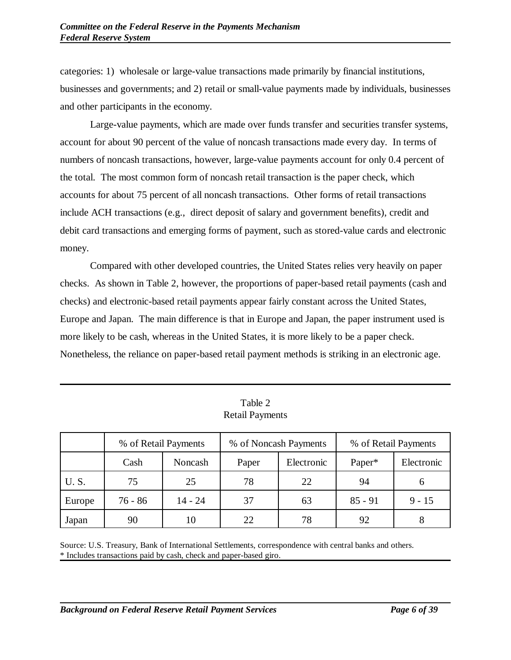categories: 1) wholesale or large-value transactions made primarily by financial institutions, businesses and governments; and 2) retail or small-value payments made by individuals, businesses and other participants in the economy.

Large-value payments, which are made over funds transfer and securities transfer systems, account for about 90 percent of the value of noncash transactions made every day. In terms of numbers of noncash transactions, however, large-value payments account for only 0.4 percent of the total. The most common form of noncash retail transaction is the paper check, which accounts for about 75 percent of all noncash transactions. Other forms of retail transactions include ACH transactions (e.g., direct deposit of salary and government benefits), credit and debit card transactions and emerging forms of payment, such as stored-value cards and electronic money.

Compared with other developed countries, the United States relies very heavily on paper checks. As shown in Table 2, however, the proportions of paper-based retail payments (cash and checks) and electronic-based retail payments appear fairly constant across the United States, Europe and Japan. The main difference is that in Europe and Japan, the paper instrument used is more likely to be cash, whereas in the United States, it is more likely to be a paper check. Nonetheless, the reliance on paper-based retail payment methods is striking in an electronic age.

|             | % of Retail Payments |           | % of Noncash Payments |            | % of Retail Payments |            |
|-------------|----------------------|-----------|-----------------------|------------|----------------------|------------|
|             | Cash                 | Noncash   | Paper                 | Electronic | Paper*               | Electronic |
| <b>U.S.</b> | 75                   | 25        | 78                    | 22         | 94                   |            |
| Europe      | $76 - 86$            | $14 - 24$ | 37                    | 63         | $85 - 91$            | $9 - 15$   |
| Japan       | 90                   | 10        | 22                    | 78         | 92                   |            |

Table 2 Retail Payments

Source: U.S. Treasury, Bank of International Settlements, correspondence with central banks and others. \* Includes transactions paid by cash, check and paper-based giro.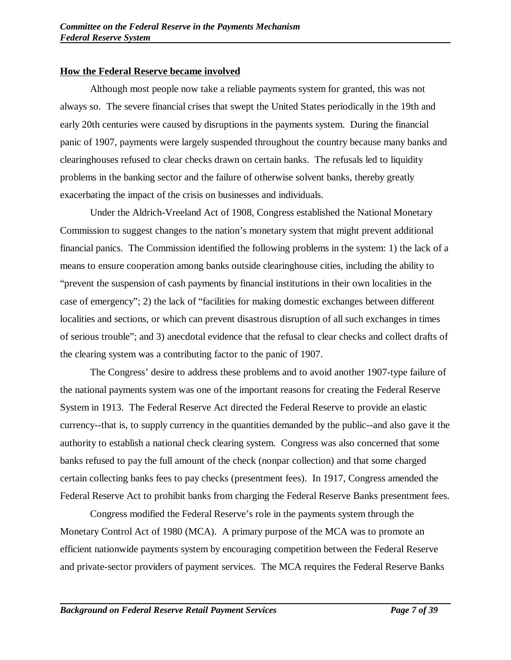## **How the Federal Reserve became involved**

Although most people now take a reliable payments system for granted, this was not always so. The severe financial crises that swept the United States periodically in the 19th and early 20th centuries were caused by disruptions in the payments system. During the financial panic of 1907, payments were largely suspended throughout the country because many banks and clearinghouses refused to clear checks drawn on certain banks. The refusals led to liquidity problems in the banking sector and the failure of otherwise solvent banks, thereby greatly exacerbating the impact of the crisis on businesses and individuals.

Under the Aldrich-Vreeland Act of 1908, Congress established the National Monetary Commission to suggest changes to the nation's monetary system that might prevent additional financial panics. The Commission identified the following problems in the system: 1) the lack of a means to ensure cooperation among banks outside clearinghouse cities, including the ability to "prevent the suspension of cash payments by financial institutions in their own localities in the case of emergency"; 2) the lack of "facilities for making domestic exchanges between different localities and sections, or which can prevent disastrous disruption of all such exchanges in times of serious trouble"; and 3) anecdotal evidence that the refusal to clear checks and collect drafts of the clearing system was a contributing factor to the panic of 1907.

The Congress' desire to address these problems and to avoid another 1907-type failure of the national payments system was one of the important reasons for creating the Federal Reserve System in 1913. The Federal Reserve Act directed the Federal Reserve to provide an elastic currency--that is, to supply currency in the quantities demanded by the public--and also gave it the authority to establish a national check clearing system. Congress was also concerned that some banks refused to pay the full amount of the check (nonpar collection) and that some charged certain collecting banks fees to pay checks (presentment fees). In 1917, Congress amended the Federal Reserve Act to prohibit banks from charging the Federal Reserve Banks presentment fees.

Congress modified the Federal Reserve's role in the payments system through the Monetary Control Act of 1980 (MCA). A primary purpose of the MCA was to promote an efficient nationwide payments system by encouraging competition between the Federal Reserve and private-sector providers of payment services. The MCA requires the Federal Reserve Banks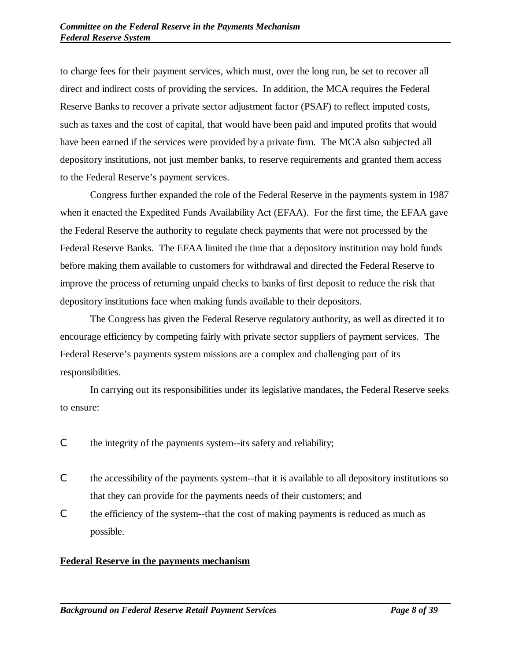to charge fees for their payment services, which must, over the long run, be set to recover all direct and indirect costs of providing the services. In addition, the MCA requires the Federal Reserve Banks to recover a private sector adjustment factor (PSAF) to reflect imputed costs, such as taxes and the cost of capital, that would have been paid and imputed profits that would have been earned if the services were provided by a private firm. The MCA also subjected all depository institutions, not just member banks, to reserve requirements and granted them access to the Federal Reserve's payment services.

Congress further expanded the role of the Federal Reserve in the payments system in 1987 when it enacted the Expedited Funds Availability Act (EFAA). For the first time, the EFAA gave the Federal Reserve the authority to regulate check payments that were not processed by the Federal Reserve Banks. The EFAA limited the time that a depository institution may hold funds before making them available to customers for withdrawal and directed the Federal Reserve to improve the process of returning unpaid checks to banks of first deposit to reduce the risk that depository institutions face when making funds available to their depositors.

The Congress has given the Federal Reserve regulatory authority, as well as directed it to encourage efficiency by competing fairly with private sector suppliers of payment services. The Federal Reserve's payments system missions are a complex and challenging part of its responsibilities.

In carrying out its responsibilities under its legislative mandates, the Federal Reserve seeks to ensure:

- C the integrity of the payments system--its safety and reliability;
- C the accessibility of the payments system--that it is available to all depository institutions so that they can provide for the payments needs of their customers; and
- C the efficiency of the system--that the cost of making payments is reduced as much as possible.

## **Federal Reserve in the payments mechanism**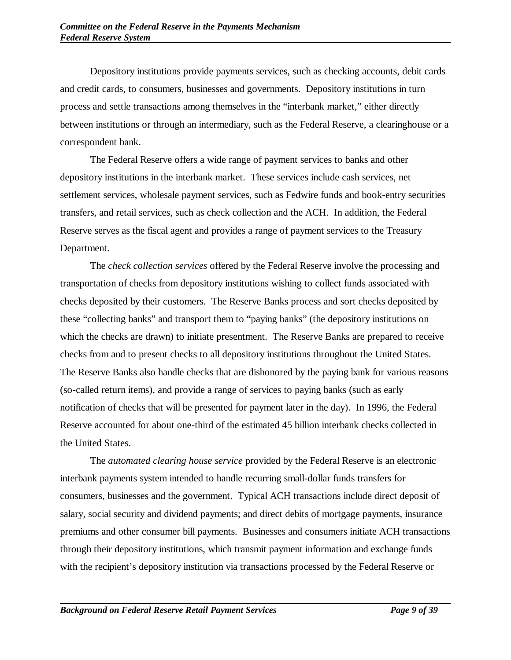Depository institutions provide payments services, such as checking accounts, debit cards and credit cards, to consumers, businesses and governments. Depository institutions in turn process and settle transactions among themselves in the "interbank market," either directly between institutions or through an intermediary, such as the Federal Reserve, a clearinghouse or a correspondent bank.

The Federal Reserve offers a wide range of payment services to banks and other depository institutions in the interbank market. These services include cash services, net settlement services, wholesale payment services, such as Fedwire funds and book-entry securities transfers, and retail services, such as check collection and the ACH. In addition, the Federal Reserve serves as the fiscal agent and provides a range of payment services to the Treasury Department.

The *check collection services* offered by the Federal Reserve involve the processing and transportation of checks from depository institutions wishing to collect funds associated with checks deposited by their customers. The Reserve Banks process and sort checks deposited by these "collecting banks" and transport them to "paying banks" (the depository institutions on which the checks are drawn) to initiate presentment. The Reserve Banks are prepared to receive checks from and to present checks to all depository institutions throughout the United States. The Reserve Banks also handle checks that are dishonored by the paying bank for various reasons (so-called return items), and provide a range of services to paying banks (such as early notification of checks that will be presented for payment later in the day). In 1996, the Federal Reserve accounted for about one-third of the estimated 45 billion interbank checks collected in the United States.

The *automated clearing house service* provided by the Federal Reserve is an electronic interbank payments system intended to handle recurring small-dollar funds transfers for consumers, businesses and the government. Typical ACH transactions include direct deposit of salary, social security and dividend payments; and direct debits of mortgage payments, insurance premiums and other consumer bill payments. Businesses and consumers initiate ACH transactions through their depository institutions, which transmit payment information and exchange funds with the recipient's depository institution via transactions processed by the Federal Reserve or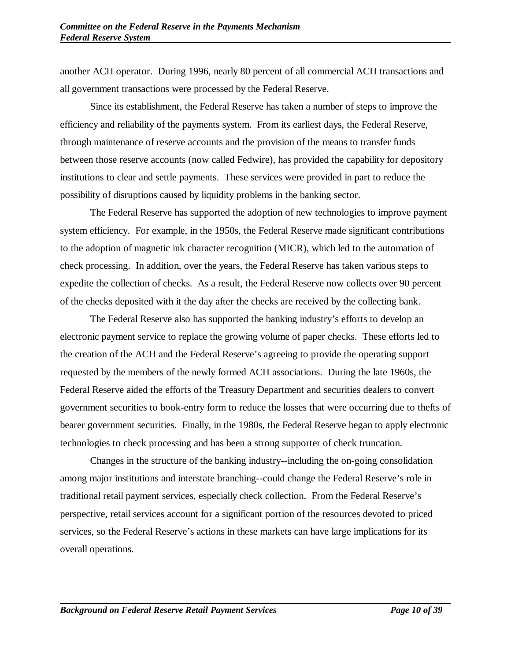another ACH operator. During 1996, nearly 80 percent of all commercial ACH transactions and all government transactions were processed by the Federal Reserve.

Since its establishment, the Federal Reserve has taken a number of steps to improve the efficiency and reliability of the payments system. From its earliest days, the Federal Reserve, through maintenance of reserve accounts and the provision of the means to transfer funds between those reserve accounts (now called Fedwire), has provided the capability for depository institutions to clear and settle payments. These services were provided in part to reduce the possibility of disruptions caused by liquidity problems in the banking sector.

The Federal Reserve has supported the adoption of new technologies to improve payment system efficiency. For example, in the 1950s, the Federal Reserve made significant contributions to the adoption of magnetic ink character recognition (MICR), which led to the automation of check processing. In addition, over the years, the Federal Reserve has taken various steps to expedite the collection of checks. As a result, the Federal Reserve now collects over 90 percent of the checks deposited with it the day after the checks are received by the collecting bank.

The Federal Reserve also has supported the banking industry's efforts to develop an electronic payment service to replace the growing volume of paper checks. These efforts led to the creation of the ACH and the Federal Reserve's agreeing to provide the operating support requested by the members of the newly formed ACH associations. During the late 1960s, the Federal Reserve aided the efforts of the Treasury Department and securities dealers to convert government securities to book-entry form to reduce the losses that were occurring due to thefts of bearer government securities. Finally, in the 1980s, the Federal Reserve began to apply electronic technologies to check processing and has been a strong supporter of check truncation.

Changes in the structure of the banking industry--including the on-going consolidation among major institutions and interstate branching--could change the Federal Reserve's role in traditional retail payment services, especially check collection. From the Federal Reserve's perspective, retail services account for a significant portion of the resources devoted to priced services, so the Federal Reserve's actions in these markets can have large implications for its overall operations.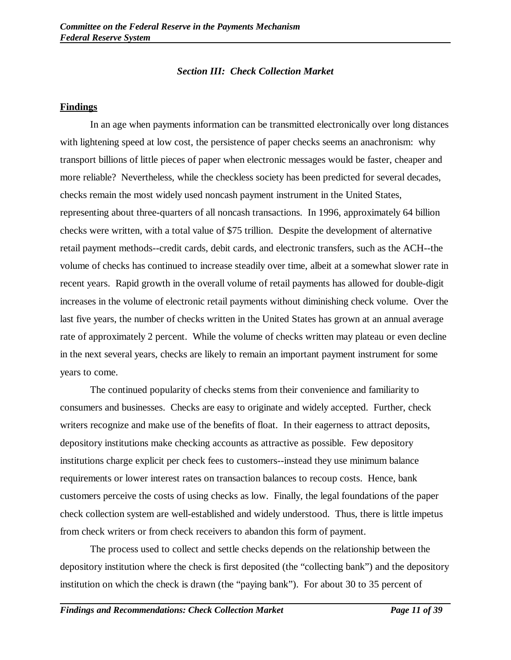## *Section III: Check Collection Market*

### **Findings**

In an age when payments information can be transmitted electronically over long distances with lightening speed at low cost, the persistence of paper checks seems an anachronism: why transport billions of little pieces of paper when electronic messages would be faster, cheaper and more reliable? Nevertheless, while the checkless society has been predicted for several decades, checks remain the most widely used noncash payment instrument in the United States, representing about three-quarters of all noncash transactions. In 1996, approximately 64 billion checks were written, with a total value of \$75 trillion. Despite the development of alternative retail payment methods--credit cards, debit cards, and electronic transfers, such as the ACH--the volume of checks has continued to increase steadily over time, albeit at a somewhat slower rate in recent years. Rapid growth in the overall volume of retail payments has allowed for double-digit increases in the volume of electronic retail payments without diminishing check volume. Over the last five years, the number of checks written in the United States has grown at an annual average rate of approximately 2 percent. While the volume of checks written may plateau or even decline in the next several years, checks are likely to remain an important payment instrument for some years to come.

The continued popularity of checks stems from their convenience and familiarity to consumers and businesses. Checks are easy to originate and widely accepted. Further, check writers recognize and make use of the benefits of float. In their eagerness to attract deposits, depository institutions make checking accounts as attractive as possible. Few depository institutions charge explicit per check fees to customers--instead they use minimum balance requirements or lower interest rates on transaction balances to recoup costs. Hence, bank customers perceive the costs of using checks as low. Finally, the legal foundations of the paper check collection system are well-established and widely understood. Thus, there is little impetus from check writers or from check receivers to abandon this form of payment.

The process used to collect and settle checks depends on the relationship between the depository institution where the check is first deposited (the "collecting bank") and the depository institution on which the check is drawn (the "paying bank"). For about 30 to 35 percent of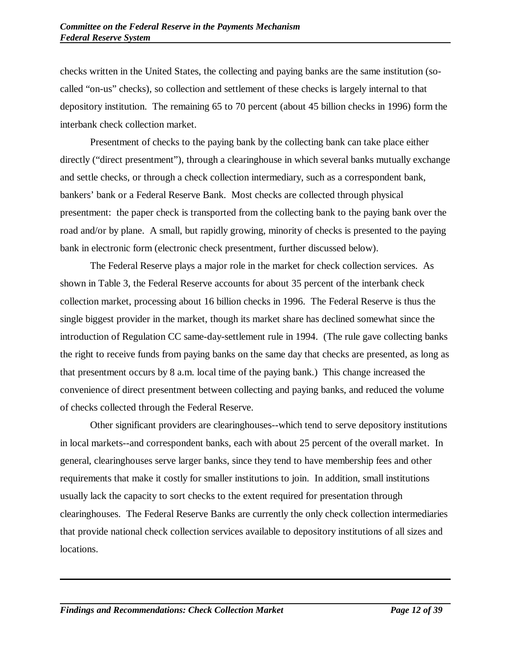checks written in the United States, the collecting and paying banks are the same institution (socalled "on-us" checks), so collection and settlement of these checks is largely internal to that depository institution. The remaining 65 to 70 percent (about 45 billion checks in 1996) form the interbank check collection market.

Presentment of checks to the paying bank by the collecting bank can take place either directly ("direct presentment"), through a clearinghouse in which several banks mutually exchange and settle checks, or through a check collection intermediary, such as a correspondent bank, bankers' bank or a Federal Reserve Bank. Most checks are collected through physical presentment: the paper check is transported from the collecting bank to the paying bank over the road and/or by plane. A small, but rapidly growing, minority of checks is presented to the paying bank in electronic form (electronic check presentment, further discussed below).

The Federal Reserve plays a major role in the market for check collection services. As shown in Table 3, the Federal Reserve accounts for about 35 percent of the interbank check collection market, processing about 16 billion checks in 1996. The Federal Reserve is thus the single biggest provider in the market, though its market share has declined somewhat since the introduction of Regulation CC same-day-settlement rule in 1994. (The rule gave collecting banks the right to receive funds from paying banks on the same day that checks are presented, as long as that presentment occurs by 8 a.m. local time of the paying bank.) This change increased the convenience of direct presentment between collecting and paying banks, and reduced the volume of checks collected through the Federal Reserve.

Other significant providers are clearinghouses--which tend to serve depository institutions in local markets--and correspondent banks, each with about 25 percent of the overall market. In general, clearinghouses serve larger banks, since they tend to have membership fees and other requirements that make it costly for smaller institutions to join. In addition, small institutions usually lack the capacity to sort checks to the extent required for presentation through clearinghouses. The Federal Reserve Banks are currently the only check collection intermediaries that provide national check collection services available to depository institutions of all sizes and locations.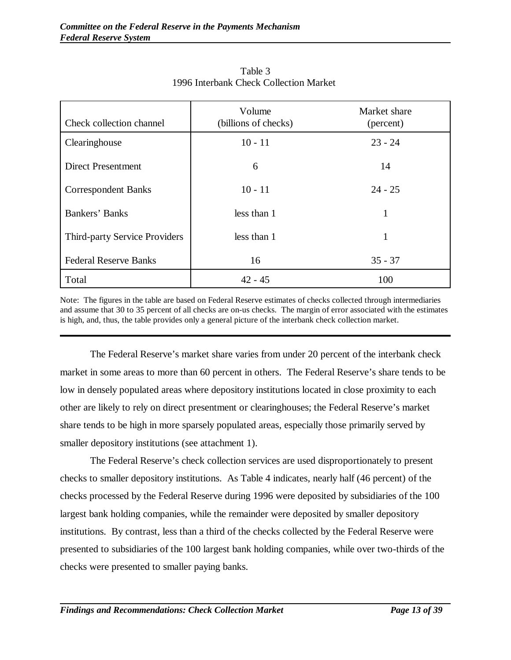| Check collection channel             | Volume<br>(billions of checks) | Market share<br>(percent) |
|--------------------------------------|--------------------------------|---------------------------|
| Clearinghouse                        | $10 - 11$                      | $23 - 24$                 |
| <b>Direct Presentment</b>            | 6                              | 14                        |
| <b>Correspondent Banks</b>           | $10 - 11$                      | $24 - 25$                 |
| Bankers' Banks                       | less than 1                    | 1                         |
| <b>Third-party Service Providers</b> | less than 1                    | 1                         |
| <b>Federal Reserve Banks</b>         | 16                             | $35 - 37$                 |
| Total                                | $42 - 45$                      | 100                       |

Table 3 1996 Interbank Check Collection Market

Note: The figures in the table are based on Federal Reserve estimates of checks collected through intermediaries and assume that 30 to 35 percent of all checks are on-us checks. The margin of error associated with the estimates is high, and, thus, the table provides only a general picture of the interbank check collection market.

The Federal Reserve's market share varies from under 20 percent of the interbank check market in some areas to more than 60 percent in others. The Federal Reserve's share tends to be low in densely populated areas where depository institutions located in close proximity to each other are likely to rely on direct presentment or clearinghouses; the Federal Reserve's market share tends to be high in more sparsely populated areas, especially those primarily served by smaller depository institutions (see attachment 1).

The Federal Reserve's check collection services are used disproportionately to present checks to smaller depository institutions. As Table 4 indicates, nearly half (46 percent) of the checks processed by the Federal Reserve during 1996 were deposited by subsidiaries of the 100 largest bank holding companies, while the remainder were deposited by smaller depository institutions. By contrast, less than a third of the checks collected by the Federal Reserve were presented to subsidiaries of the 100 largest bank holding companies, while over two-thirds of the checks were presented to smaller paying banks.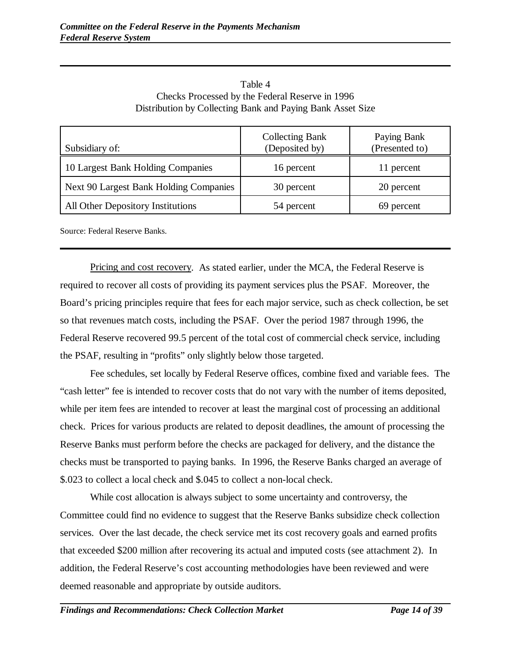| Subsidiary of:                         | <b>Collecting Bank</b><br>(Deposited by) | Paying Bank<br>(Presented to) |
|----------------------------------------|------------------------------------------|-------------------------------|
| 10 Largest Bank Holding Companies      | 16 percent                               | 11 percent                    |
| Next 90 Largest Bank Holding Companies | 30 percent                               | 20 percent                    |
| All Other Depository Institutions      | 54 percent                               | 69 percent                    |

Table 4 Checks Processed by the Federal Reserve in 1996 Distribution by Collecting Bank and Paying Bank Asset Size

Source: Federal Reserve Banks.

Pricing and cost recovery. As stated earlier, under the MCA, the Federal Reserve is required to recover all costs of providing its payment services plus the PSAF. Moreover, the Board's pricing principles require that fees for each major service, such as check collection, be set so that revenues match costs, including the PSAF. Over the period 1987 through 1996, the Federal Reserve recovered 99.5 percent of the total cost of commercial check service, including the PSAF, resulting in "profits" only slightly below those targeted.

Fee schedules, set locally by Federal Reserve offices, combine fixed and variable fees. The "cash letter" fee is intended to recover costs that do not vary with the number of items deposited, while per item fees are intended to recover at least the marginal cost of processing an additional check. Prices for various products are related to deposit deadlines, the amount of processing the Reserve Banks must perform before the checks are packaged for delivery, and the distance the checks must be transported to paying banks. In 1996, the Reserve Banks charged an average of \$.023 to collect a local check and \$.045 to collect a non-local check.

While cost allocation is always subject to some uncertainty and controversy, the Committee could find no evidence to suggest that the Reserve Banks subsidize check collection services. Over the last decade, the check service met its cost recovery goals and earned profits that exceeded \$200 million after recovering its actual and imputed costs (see attachment 2). In addition, the Federal Reserve's cost accounting methodologies have been reviewed and were deemed reasonable and appropriate by outside auditors.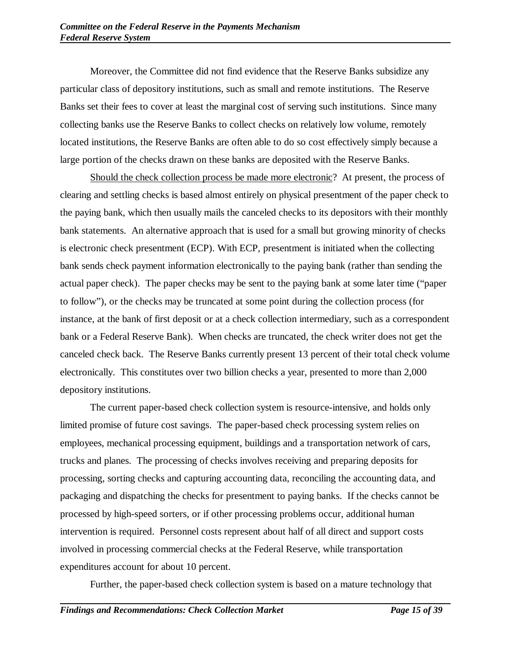Moreover, the Committee did not find evidence that the Reserve Banks subsidize any particular class of depository institutions, such as small and remote institutions. The Reserve Banks set their fees to cover at least the marginal cost of serving such institutions. Since many collecting banks use the Reserve Banks to collect checks on relatively low volume, remotely located institutions, the Reserve Banks are often able to do so cost effectively simply because a large portion of the checks drawn on these banks are deposited with the Reserve Banks.

Should the check collection process be made more electronic? At present, the process of clearing and settling checks is based almost entirely on physical presentment of the paper check to the paying bank, which then usually mails the canceled checks to its depositors with their monthly bank statements. An alternative approach that is used for a small but growing minority of checks is electronic check presentment (ECP). With ECP, presentment is initiated when the collecting bank sends check payment information electronically to the paying bank (rather than sending the actual paper check). The paper checks may be sent to the paying bank at some later time ("paper to follow"), or the checks may be truncated at some point during the collection process (for instance, at the bank of first deposit or at a check collection intermediary, such as a correspondent bank or a Federal Reserve Bank). When checks are truncated, the check writer does not get the canceled check back. The Reserve Banks currently present 13 percent of their total check volume electronically. This constitutes over two billion checks a year, presented to more than 2,000 depository institutions.

The current paper-based check collection system is resource-intensive, and holds only limited promise of future cost savings. The paper-based check processing system relies on employees, mechanical processing equipment, buildings and a transportation network of cars, trucks and planes. The processing of checks involves receiving and preparing deposits for processing, sorting checks and capturing accounting data, reconciling the accounting data, and packaging and dispatching the checks for presentment to paying banks. If the checks cannot be processed by high-speed sorters, or if other processing problems occur, additional human intervention is required. Personnel costs represent about half of all direct and support costs involved in processing commercial checks at the Federal Reserve, while transportation expenditures account for about 10 percent.

Further, the paper-based check collection system is based on a mature technology that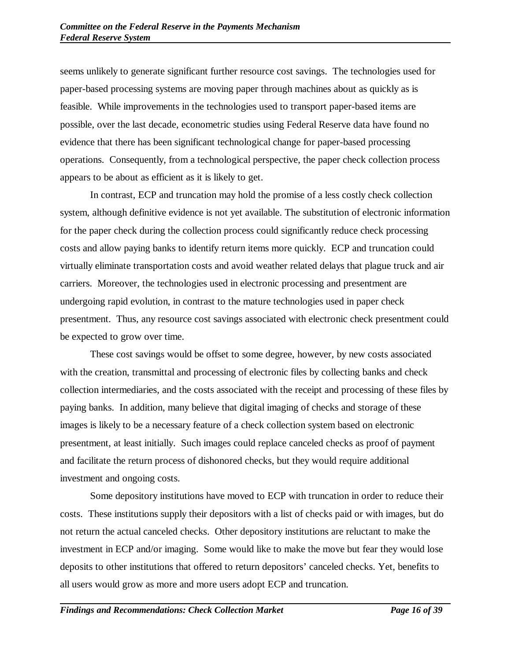seems unlikely to generate significant further resource cost savings. The technologies used for paper-based processing systems are moving paper through machines about as quickly as is feasible. While improvements in the technologies used to transport paper-based items are possible, over the last decade, econometric studies using Federal Reserve data have found no evidence that there has been significant technological change for paper-based processing operations. Consequently, from a technological perspective, the paper check collection process appears to be about as efficient as it is likely to get.

In contrast, ECP and truncation may hold the promise of a less costly check collection system, although definitive evidence is not yet available. The substitution of electronic information for the paper check during the collection process could significantly reduce check processing costs and allow paying banks to identify return items more quickly. ECP and truncation could virtually eliminate transportation costs and avoid weather related delays that plague truck and air carriers. Moreover, the technologies used in electronic processing and presentment are undergoing rapid evolution, in contrast to the mature technologies used in paper check presentment. Thus, any resource cost savings associated with electronic check presentment could be expected to grow over time.

These cost savings would be offset to some degree, however, by new costs associated with the creation, transmittal and processing of electronic files by collecting banks and check collection intermediaries, and the costs associated with the receipt and processing of these files by paying banks. In addition, many believe that digital imaging of checks and storage of these images is likely to be a necessary feature of a check collection system based on electronic presentment, at least initially. Such images could replace canceled checks as proof of payment and facilitate the return process of dishonored checks, but they would require additional investment and ongoing costs.

Some depository institutions have moved to ECP with truncation in order to reduce their costs. These institutions supply their depositors with a list of checks paid or with images, but do not return the actual canceled checks. Other depository institutions are reluctant to make the investment in ECP and/or imaging. Some would like to make the move but fear they would lose deposits to other institutions that offered to return depositors' canceled checks. Yet, benefits to all users would grow as more and more users adopt ECP and truncation.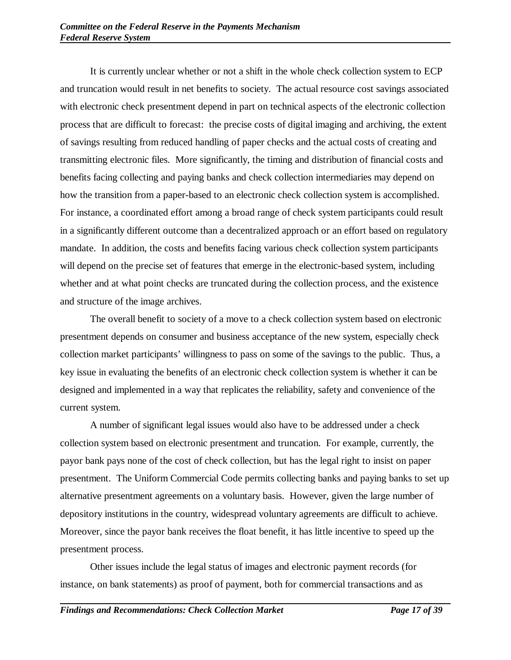It is currently unclear whether or not a shift in the whole check collection system to ECP and truncation would result in net benefits to society. The actual resource cost savings associated with electronic check presentment depend in part on technical aspects of the electronic collection process that are difficult to forecast: the precise costs of digital imaging and archiving, the extent of savings resulting from reduced handling of paper checks and the actual costs of creating and transmitting electronic files. More significantly, the timing and distribution of financial costs and benefits facing collecting and paying banks and check collection intermediaries may depend on how the transition from a paper-based to an electronic check collection system is accomplished. For instance, a coordinated effort among a broad range of check system participants could result in a significantly different outcome than a decentralized approach or an effort based on regulatory mandate. In addition, the costs and benefits facing various check collection system participants will depend on the precise set of features that emerge in the electronic-based system, including whether and at what point checks are truncated during the collection process, and the existence and structure of the image archives.

The overall benefit to society of a move to a check collection system based on electronic presentment depends on consumer and business acceptance of the new system, especially check collection market participants' willingness to pass on some of the savings to the public. Thus, a key issue in evaluating the benefits of an electronic check collection system is whether it can be designed and implemented in a way that replicates the reliability, safety and convenience of the current system.

A number of significant legal issues would also have to be addressed under a check collection system based on electronic presentment and truncation. For example, currently, the payor bank pays none of the cost of check collection, but has the legal right to insist on paper presentment. The Uniform Commercial Code permits collecting banks and paying banks to set up alternative presentment agreements on a voluntary basis. However, given the large number of depository institutions in the country, widespread voluntary agreements are difficult to achieve. Moreover, since the payor bank receives the float benefit, it has little incentive to speed up the presentment process.

Other issues include the legal status of images and electronic payment records (for instance, on bank statements) as proof of payment, both for commercial transactions and as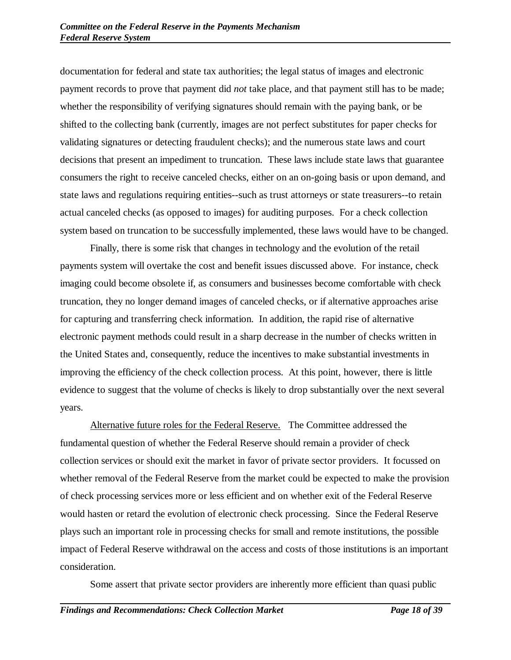documentation for federal and state tax authorities; the legal status of images and electronic payment records to prove that payment did *not* take place, and that payment still has to be made; whether the responsibility of verifying signatures should remain with the paying bank, or be shifted to the collecting bank (currently, images are not perfect substitutes for paper checks for validating signatures or detecting fraudulent checks); and the numerous state laws and court decisions that present an impediment to truncation. These laws include state laws that guarantee consumers the right to receive canceled checks, either on an on-going basis or upon demand, and state laws and regulations requiring entities--such as trust attorneys or state treasurers--to retain actual canceled checks (as opposed to images) for auditing purposes. For a check collection system based on truncation to be successfully implemented, these laws would have to be changed.

Finally, there is some risk that changes in technology and the evolution of the retail payments system will overtake the cost and benefit issues discussed above. For instance, check imaging could become obsolete if, as consumers and businesses become comfortable with check truncation, they no longer demand images of canceled checks, or if alternative approaches arise for capturing and transferring check information. In addition, the rapid rise of alternative electronic payment methods could result in a sharp decrease in the number of checks written in the United States and, consequently, reduce the incentives to make substantial investments in improving the efficiency of the check collection process. At this point, however, there is little evidence to suggest that the volume of checks is likely to drop substantially over the next several years.

Alternative future roles for the Federal Reserve. The Committee addressed the fundamental question of whether the Federal Reserve should remain a provider of check collection services or should exit the market in favor of private sector providers. It focussed on whether removal of the Federal Reserve from the market could be expected to make the provision of check processing services more or less efficient and on whether exit of the Federal Reserve would hasten or retard the evolution of electronic check processing. Since the Federal Reserve plays such an important role in processing checks for small and remote institutions, the possible impact of Federal Reserve withdrawal on the access and costs of those institutions is an important consideration.

Some assert that private sector providers are inherently more efficient than quasi public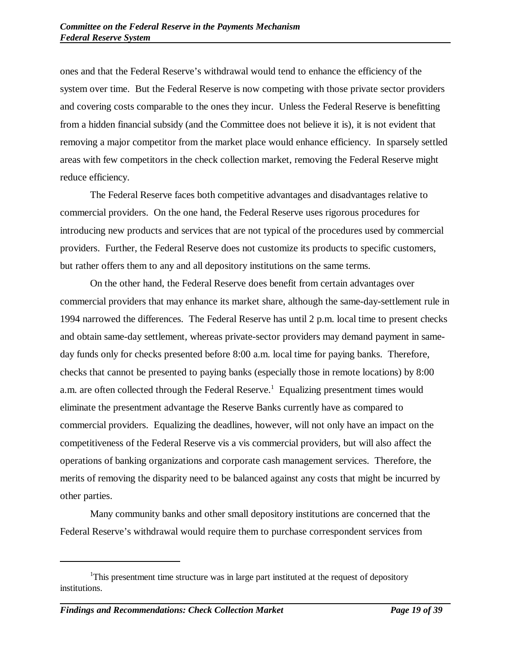ones and that the Federal Reserve's withdrawal would tend to enhance the efficiency of the system over time. But the Federal Reserve is now competing with those private sector providers and covering costs comparable to the ones they incur. Unless the Federal Reserve is benefitting from a hidden financial subsidy (and the Committee does not believe it is), it is not evident that removing a major competitor from the market place would enhance efficiency. In sparsely settled areas with few competitors in the check collection market, removing the Federal Reserve might reduce efficiency.

The Federal Reserve faces both competitive advantages and disadvantages relative to commercial providers. On the one hand, the Federal Reserve uses rigorous procedures for introducing new products and services that are not typical of the procedures used by commercial providers. Further, the Federal Reserve does not customize its products to specific customers, but rather offers them to any and all depository institutions on the same terms.

On the other hand, the Federal Reserve does benefit from certain advantages over commercial providers that may enhance its market share, although the same-day-settlement rule in 1994 narrowed the differences. The Federal Reserve has until 2 p.m. local time to present checks and obtain same-day settlement, whereas private-sector providers may demand payment in sameday funds only for checks presented before 8:00 a.m. local time for paying banks. Therefore, checks that cannot be presented to paying banks (especially those in remote locations) by 8:00 a.m. are often collected through the Federal Reserve.<sup>1</sup> Equalizing presentment times would eliminate the presentment advantage the Reserve Banks currently have as compared to commercial providers. Equalizing the deadlines, however, will not only have an impact on the competitiveness of the Federal Reserve vis a vis commercial providers, but will also affect the operations of banking organizations and corporate cash management services. Therefore, the merits of removing the disparity need to be balanced against any costs that might be incurred by other parties.

Many community banks and other small depository institutions are concerned that the Federal Reserve's withdrawal would require them to purchase correspondent services from

<sup>&</sup>lt;sup>1</sup>This presentment time structure was in large part instituted at the request of depository institutions.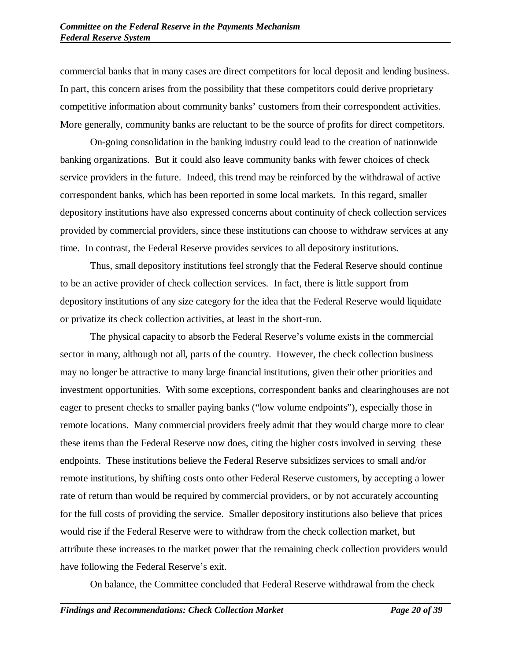commercial banks that in many cases are direct competitors for local deposit and lending business. In part, this concern arises from the possibility that these competitors could derive proprietary competitive information about community banks' customers from their correspondent activities. More generally, community banks are reluctant to be the source of profits for direct competitors.

On-going consolidation in the banking industry could lead to the creation of nationwide banking organizations. But it could also leave community banks with fewer choices of check service providers in the future. Indeed, this trend may be reinforced by the withdrawal of active correspondent banks, which has been reported in some local markets. In this regard, smaller depository institutions have also expressed concerns about continuity of check collection services provided by commercial providers, since these institutions can choose to withdraw services at any time. In contrast, the Federal Reserve provides services to all depository institutions.

Thus, small depository institutions feel strongly that the Federal Reserve should continue to be an active provider of check collection services. In fact, there is little support from depository institutions of any size category for the idea that the Federal Reserve would liquidate or privatize its check collection activities, at least in the short-run.

The physical capacity to absorb the Federal Reserve's volume exists in the commercial sector in many, although not all, parts of the country. However, the check collection business may no longer be attractive to many large financial institutions, given their other priorities and investment opportunities. With some exceptions, correspondent banks and clearinghouses are not eager to present checks to smaller paying banks ("low volume endpoints"), especially those in remote locations. Many commercial providers freely admit that they would charge more to clear these items than the Federal Reserve now does, citing the higher costs involved in serving these endpoints. These institutions believe the Federal Reserve subsidizes services to small and/or remote institutions, by shifting costs onto other Federal Reserve customers, by accepting a lower rate of return than would be required by commercial providers, or by not accurately accounting for the full costs of providing the service. Smaller depository institutions also believe that prices would rise if the Federal Reserve were to withdraw from the check collection market, but attribute these increases to the market power that the remaining check collection providers would have following the Federal Reserve's exit.

On balance, the Committee concluded that Federal Reserve withdrawal from the check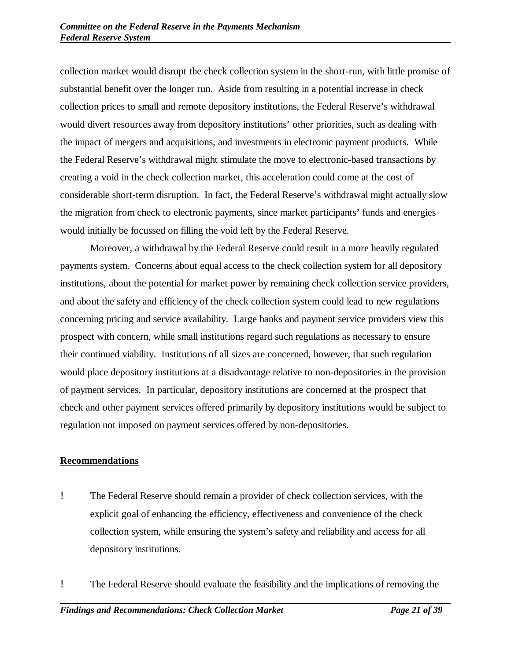collection market would disrupt the check collection system in the short-run, with little promise of substantial benefit over the longer run. Aside from resulting in a potential increase in check collection prices to small and remote depository institutions, the Federal Reserve's withdrawal would divert resources away from depository institutions' other priorities, such as dealing with the impact of mergers and acquisitions, and investments in electronic payment products. While the Federal Reserve's withdrawal might stimulate the move to electronic-based transactions by creating a void in the check collection market, this acceleration could come at the cost of considerable short-term disruption. In fact, the Federal Reserve's withdrawal might actually slow the migration from check to electronic payments, since market participants' funds and energies would initially be focussed on filling the void left by the Federal Reserve.

Moreover, a withdrawal by the Federal Reserve could result in a more heavily regulated payments system. Concerns about equal access to the check collection system for all depository institutions, about the potential for market power by remaining check collection service providers, and about the safety and efficiency of the check collection system could lead to new regulations concerning pricing and service availability. Large banks and payment service providers view this prospect with concern, while small institutions regard such regulations as necessary to ensure their continued viability. Institutions of all sizes are concerned, however, that such regulation would place depository institutions at a disadvantage relative to non-depositories in the provision of payment services. In particular, depository institutions are concerned at the prospect that check and other payment services offered primarily by depository institutions would be subject to regulation not imposed on payment services offered by non-depositories.

## **Recommendations**

- ! The Federal Reserve should remain a provider of check collection services, with the explicit goal of enhancing the efficiency, effectiveness and convenience of the check collection system, while ensuring the system's safety and reliability and access for all depository institutions.
- ! The Federal Reserve should evaluate the feasibility and the implications of removing the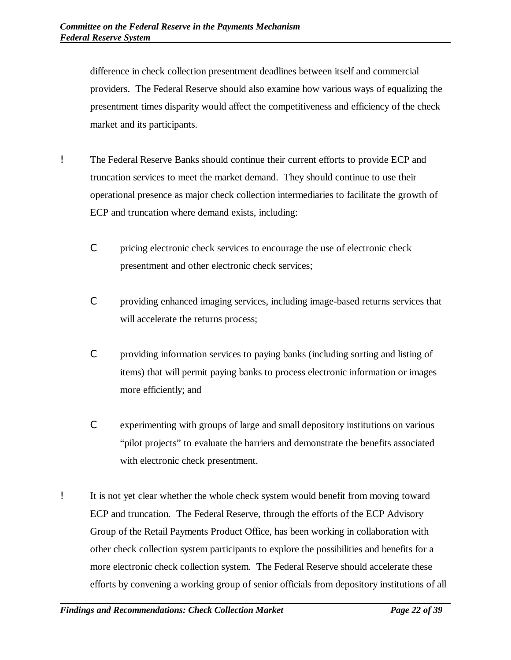difference in check collection presentment deadlines between itself and commercial providers. The Federal Reserve should also examine how various ways of equalizing the presentment times disparity would affect the competitiveness and efficiency of the check market and its participants.

- ! The Federal Reserve Banks should continue their current efforts to provide ECP and truncation services to meet the market demand. They should continue to use their operational presence as major check collection intermediaries to facilitate the growth of ECP and truncation where demand exists, including:
	- C pricing electronic check services to encourage the use of electronic check presentment and other electronic check services;
	- C providing enhanced imaging services, including image-based returns services that will accelerate the returns process;
	- C providing information services to paying banks (including sorting and listing of items) that will permit paying banks to process electronic information or images more efficiently; and
	- C experimenting with groups of large and small depository institutions on various "pilot projects" to evaluate the barriers and demonstrate the benefits associated with electronic check presentment.
- ! It is not yet clear whether the whole check system would benefit from moving toward ECP and truncation. The Federal Reserve, through the efforts of the ECP Advisory Group of the Retail Payments Product Office, has been working in collaboration with other check collection system participants to explore the possibilities and benefits for a more electronic check collection system. The Federal Reserve should accelerate these efforts by convening a working group of senior officials from depository institutions of all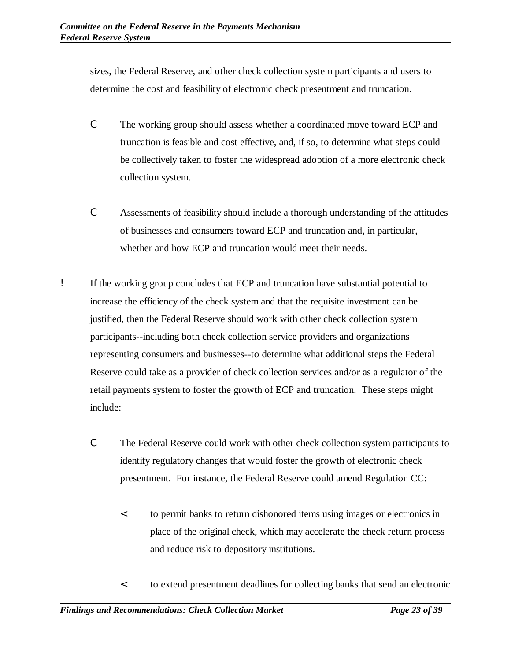sizes, the Federal Reserve, and other check collection system participants and users to determine the cost and feasibility of electronic check presentment and truncation.

- C The working group should assess whether a coordinated move toward ECP and truncation is feasible and cost effective, and, if so, to determine what steps could be collectively taken to foster the widespread adoption of a more electronic check collection system.
- C Assessments of feasibility should include a thorough understanding of the attitudes of businesses and consumers toward ECP and truncation and, in particular, whether and how ECP and truncation would meet their needs.
- ! If the working group concludes that ECP and truncation have substantial potential to increase the efficiency of the check system and that the requisite investment can be justified, then the Federal Reserve should work with other check collection system participants--including both check collection service providers and organizations representing consumers and businesses--to determine what additional steps the Federal Reserve could take as a provider of check collection services and/or as a regulator of the retail payments system to foster the growth of ECP and truncation. These steps might include:
	- C The Federal Reserve could work with other check collection system participants to identify regulatory changes that would foster the growth of electronic check presentment. For instance, the Federal Reserve could amend Regulation CC:
		- < to permit banks to return dishonored items using images or electronics in place of the original check, which may accelerate the check return process and reduce risk to depository institutions.
		- < to extend presentment deadlines for collecting banks that send an electronic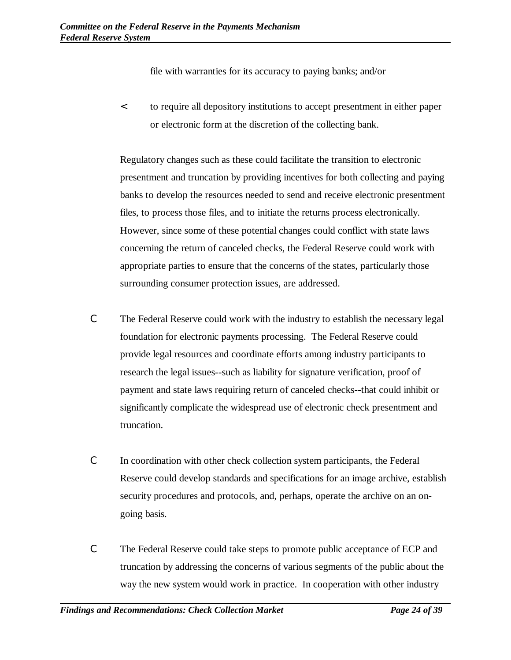file with warranties for its accuracy to paying banks; and/or

< to require all depository institutions to accept presentment in either paper or electronic form at the discretion of the collecting bank.

Regulatory changes such as these could facilitate the transition to electronic presentment and truncation by providing incentives for both collecting and paying banks to develop the resources needed to send and receive electronic presentment files, to process those files, and to initiate the returns process electronically. However, since some of these potential changes could conflict with state laws concerning the return of canceled checks, the Federal Reserve could work with appropriate parties to ensure that the concerns of the states, particularly those surrounding consumer protection issues, are addressed.

- C The Federal Reserve could work with the industry to establish the necessary legal foundation for electronic payments processing. The Federal Reserve could provide legal resources and coordinate efforts among industry participants to research the legal issues--such as liability for signature verification, proof of payment and state laws requiring return of canceled checks--that could inhibit or significantly complicate the widespread use of electronic check presentment and truncation.
- C In coordination with other check collection system participants, the Federal Reserve could develop standards and specifications for an image archive, establish security procedures and protocols, and, perhaps, operate the archive on an ongoing basis.
- C The Federal Reserve could take steps to promote public acceptance of ECP and truncation by addressing the concerns of various segments of the public about the way the new system would work in practice. In cooperation with other industry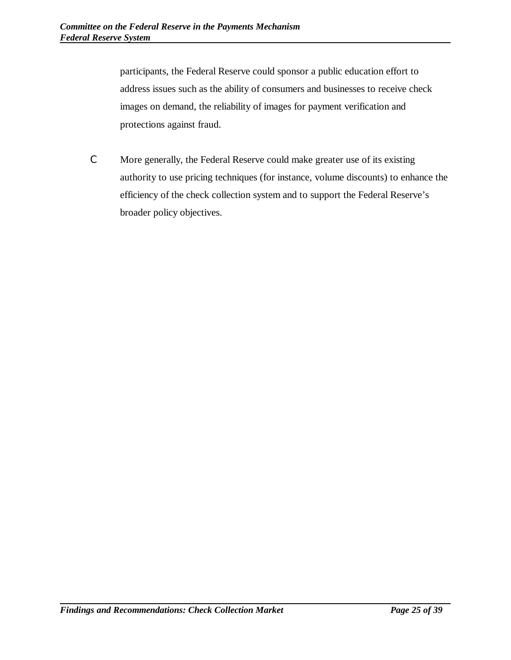participants, the Federal Reserve could sponsor a public education effort to address issues such as the ability of consumers and businesses to receive check images on demand, the reliability of images for payment verification and protections against fraud.

C More generally, the Federal Reserve could make greater use of its existing authority to use pricing techniques (for instance, volume discounts) to enhance the efficiency of the check collection system and to support the Federal Reserve's broader policy objectives.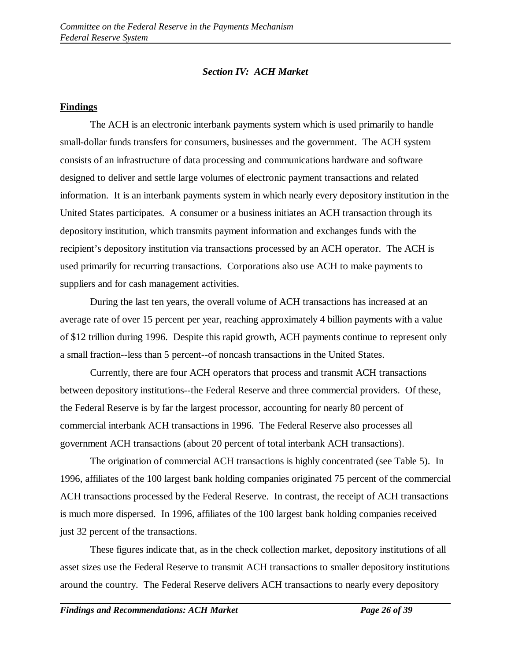#### *Section IV: ACH Market*

#### **Findings**

The ACH is an electronic interbank payments system which is used primarily to handle small-dollar funds transfers for consumers, businesses and the government. The ACH system consists of an infrastructure of data processing and communications hardware and software designed to deliver and settle large volumes of electronic payment transactions and related information. It is an interbank payments system in which nearly every depository institution in the United States participates. A consumer or a business initiates an ACH transaction through its depository institution, which transmits payment information and exchanges funds with the recipient's depository institution via transactions processed by an ACH operator. The ACH is used primarily for recurring transactions. Corporations also use ACH to make payments to suppliers and for cash management activities.

During the last ten years, the overall volume of ACH transactions has increased at an average rate of over 15 percent per year, reaching approximately 4 billion payments with a value of \$12 trillion during 1996. Despite this rapid growth, ACH payments continue to represent only a small fraction--less than 5 percent--of noncash transactions in the United States.

Currently, there are four ACH operators that process and transmit ACH transactions between depository institutions--the Federal Reserve and three commercial providers. Of these, the Federal Reserve is by far the largest processor, accounting for nearly 80 percent of commercial interbank ACH transactions in 1996. The Federal Reserve also processes all government ACH transactions (about 20 percent of total interbank ACH transactions).

The origination of commercial ACH transactions is highly concentrated (see Table 5). In 1996, affiliates of the 100 largest bank holding companies originated 75 percent of the commercial ACH transactions processed by the Federal Reserve. In contrast, the receipt of ACH transactions is much more dispersed. In 1996, affiliates of the 100 largest bank holding companies received just 32 percent of the transactions.

These figures indicate that, as in the check collection market, depository institutions of all asset sizes use the Federal Reserve to transmit ACH transactions to smaller depository institutions around the country. The Federal Reserve delivers ACH transactions to nearly every depository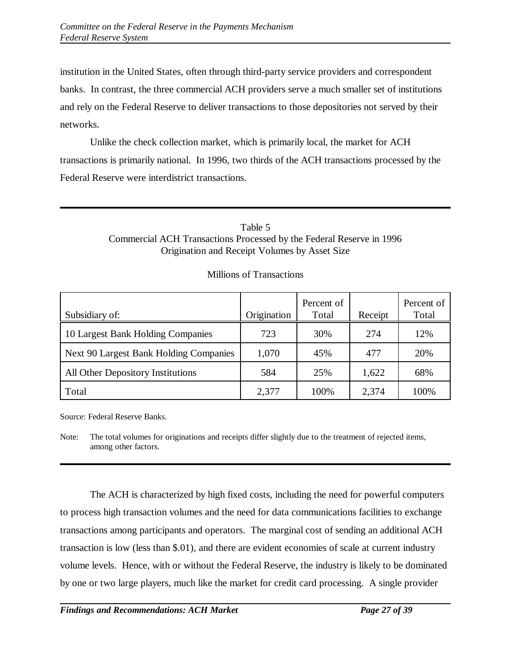institution in the United States, often through third-party service providers and correspondent banks. In contrast, the three commercial ACH providers serve a much smaller set of institutions and rely on the Federal Reserve to deliver transactions to those depositories not served by their networks.

Unlike the check collection market, which is primarily local, the market for ACH transactions is primarily national. In 1996, two thirds of the ACH transactions processed by the Federal Reserve were interdistrict transactions.

## Table 5 Commercial ACH Transactions Processed by the Federal Reserve in 1996 Origination and Receipt Volumes by Asset Size

| Subsidiary of:                         | Origination | Percent of<br>Total | Receipt | Percent of<br>Total |
|----------------------------------------|-------------|---------------------|---------|---------------------|
| 10 Largest Bank Holding Companies      | 723         | 30%                 | 274     | 12%                 |
| Next 90 Largest Bank Holding Companies | 1,070       | 45%                 | 477     | 20%                 |
| All Other Depository Institutions      | 584         | 25%                 | 1,622   | 68%                 |
| Total                                  | 2,377       | 100%                | 2,374   | 100%                |

## Millions of Transactions

Source: Federal Reserve Banks.

Note: The total volumes for originations and receipts differ slightly due to the treatment of rejected items, among other factors.

The ACH is characterized by high fixed costs, including the need for powerful computers to process high transaction volumes and the need for data communications facilities to exchange transactions among participants and operators. The marginal cost of sending an additional ACH transaction is low (less than \$.01), and there are evident economies of scale at current industry volume levels. Hence, with or without the Federal Reserve, the industry is likely to be dominated by one or two large players, much like the market for credit card processing. A single provider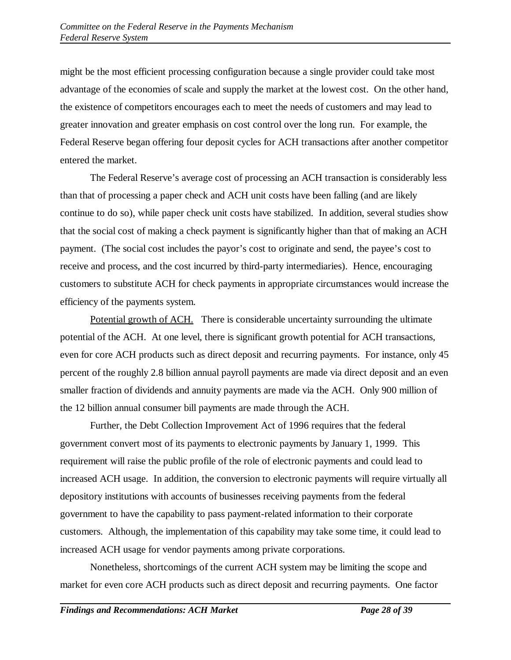might be the most efficient processing configuration because a single provider could take most advantage of the economies of scale and supply the market at the lowest cost. On the other hand, the existence of competitors encourages each to meet the needs of customers and may lead to greater innovation and greater emphasis on cost control over the long run. For example, the Federal Reserve began offering four deposit cycles for ACH transactions after another competitor entered the market.

The Federal Reserve's average cost of processing an ACH transaction is considerably less than that of processing a paper check and ACH unit costs have been falling (and are likely continue to do so), while paper check unit costs have stabilized. In addition, several studies show that the social cost of making a check payment is significantly higher than that of making an ACH payment. (The social cost includes the payor's cost to originate and send, the payee's cost to receive and process, and the cost incurred by third-party intermediaries). Hence, encouraging customers to substitute ACH for check payments in appropriate circumstances would increase the efficiency of the payments system.

Potential growth of ACH. There is considerable uncertainty surrounding the ultimate potential of the ACH. At one level, there is significant growth potential for ACH transactions, even for core ACH products such as direct deposit and recurring payments. For instance, only 45 percent of the roughly 2.8 billion annual payroll payments are made via direct deposit and an even smaller fraction of dividends and annuity payments are made via the ACH. Only 900 million of the 12 billion annual consumer bill payments are made through the ACH.

Further, the Debt Collection Improvement Act of 1996 requires that the federal government convert most of its payments to electronic payments by January 1, 1999. This requirement will raise the public profile of the role of electronic payments and could lead to increased ACH usage. In addition, the conversion to electronic payments will require virtually all depository institutions with accounts of businesses receiving payments from the federal government to have the capability to pass payment-related information to their corporate customers. Although, the implementation of this capability may take some time, it could lead to increased ACH usage for vendor payments among private corporations.

Nonetheless, shortcomings of the current ACH system may be limiting the scope and market for even core ACH products such as direct deposit and recurring payments. One factor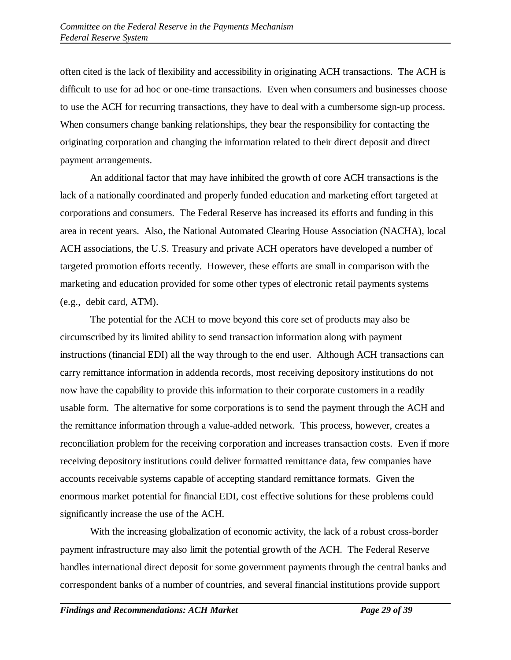often cited is the lack of flexibility and accessibility in originating ACH transactions. The ACH is difficult to use for ad hoc or one-time transactions. Even when consumers and businesses choose to use the ACH for recurring transactions, they have to deal with a cumbersome sign-up process. When consumers change banking relationships, they bear the responsibility for contacting the originating corporation and changing the information related to their direct deposit and direct payment arrangements.

An additional factor that may have inhibited the growth of core ACH transactions is the lack of a nationally coordinated and properly funded education and marketing effort targeted at corporations and consumers. The Federal Reserve has increased its efforts and funding in this area in recent years. Also, the National Automated Clearing House Association (NACHA), local ACH associations, the U.S. Treasury and private ACH operators have developed a number of targeted promotion efforts recently. However, these efforts are small in comparison with the marketing and education provided for some other types of electronic retail payments systems (e.g., debit card, ATM).

The potential for the ACH to move beyond this core set of products may also be circumscribed by its limited ability to send transaction information along with payment instructions (financial EDI) all the way through to the end user. Although ACH transactions can carry remittance information in addenda records, most receiving depository institutions do not now have the capability to provide this information to their corporate customers in a readily usable form. The alternative for some corporations is to send the payment through the ACH and the remittance information through a value-added network. This process, however, creates a reconciliation problem for the receiving corporation and increases transaction costs. Even if more receiving depository institutions could deliver formatted remittance data, few companies have accounts receivable systems capable of accepting standard remittance formats. Given the enormous market potential for financial EDI, cost effective solutions for these problems could significantly increase the use of the ACH.

With the increasing globalization of economic activity, the lack of a robust cross-border payment infrastructure may also limit the potential growth of the ACH. The Federal Reserve handles international direct deposit for some government payments through the central banks and correspondent banks of a number of countries, and several financial institutions provide support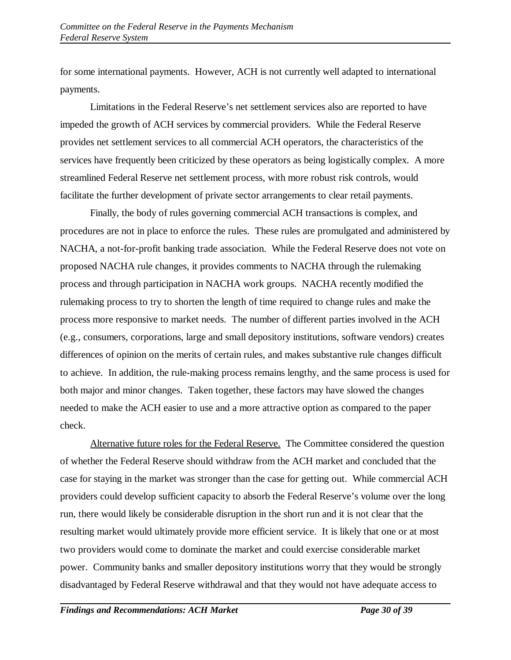for some international payments. However, ACH is not currently well adapted to international payments.

Limitations in the Federal Reserve's net settlement services also are reported to have impeded the growth of ACH services by commercial providers. While the Federal Reserve provides net settlement services to all commercial ACH operators, the characteristics of the services have frequently been criticized by these operators as being logistically complex. A more streamlined Federal Reserve net settlement process, with more robust risk controls, would facilitate the further development of private sector arrangements to clear retail payments.

Finally, the body of rules governing commercial ACH transactions is complex, and procedures are not in place to enforce the rules. These rules are promulgated and administered by NACHA, a not-for-profit banking trade association. While the Federal Reserve does not vote on proposed NACHA rule changes, it provides comments to NACHA through the rulemaking process and through participation in NACHA work groups. NACHA recently modified the rulemaking process to try to shorten the length of time required to change rules and make the process more responsive to market needs. The number of different parties involved in the ACH (e.g., consumers, corporations, large and small depository institutions, software vendors) creates differences of opinion on the merits of certain rules, and makes substantive rule changes difficult to achieve. In addition, the rule-making process remains lengthy, and the same process is used for both major and minor changes. Taken together, these factors may have slowed the changes needed to make the ACH easier to use and a more attractive option as compared to the paper check.

Alternative future roles for the Federal Reserve. The Committee considered the question of whether the Federal Reserve should withdraw from the ACH market and concluded that the case for staying in the market was stronger than the case for getting out. While commercial ACH providers could develop sufficient capacity to absorb the Federal Reserve's volume over the long run, there would likely be considerable disruption in the short run and it is not clear that the resulting market would ultimately provide more efficient service. It is likely that one or at most two providers would come to dominate the market and could exercise considerable market power. Community banks and smaller depository institutions worry that they would be strongly disadvantaged by Federal Reserve withdrawal and that they would not have adequate access to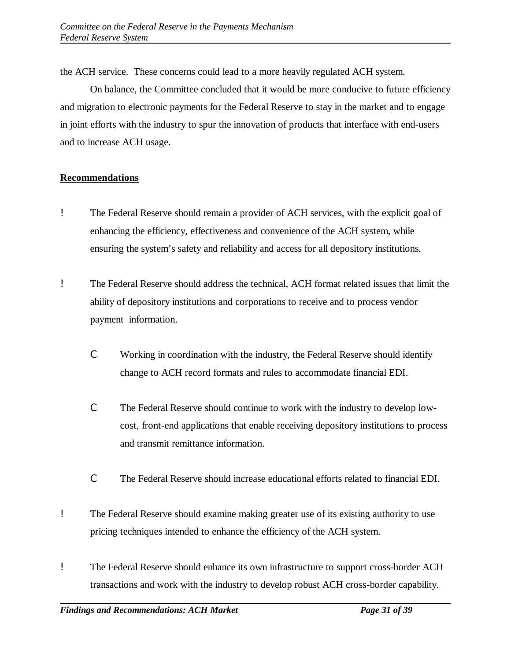the ACH service. These concerns could lead to a more heavily regulated ACH system.

On balance, the Committee concluded that it would be more conducive to future efficiency and migration to electronic payments for the Federal Reserve to stay in the market and to engage in joint efforts with the industry to spur the innovation of products that interface with end-users and to increase ACH usage.

## **Recommendations**

- ! The Federal Reserve should remain a provider of ACH services, with the explicit goal of enhancing the efficiency, effectiveness and convenience of the ACH system, while ensuring the system's safety and reliability and access for all depository institutions.
- ! The Federal Reserve should address the technical, ACH format related issues that limit the ability of depository institutions and corporations to receive and to process vendor payment information.
	- C Working in coordination with the industry, the Federal Reserve should identify change to ACH record formats and rules to accommodate financial EDI.
	- C The Federal Reserve should continue to work with the industry to develop lowcost, front-end applications that enable receiving depository institutions to process and transmit remittance information.
	- C The Federal Reserve should increase educational efforts related to financial EDI.
- ! The Federal Reserve should examine making greater use of its existing authority to use pricing techniques intended to enhance the efficiency of the ACH system.
- ! The Federal Reserve should enhance its own infrastructure to support cross-border ACH transactions and work with the industry to develop robust ACH cross-border capability.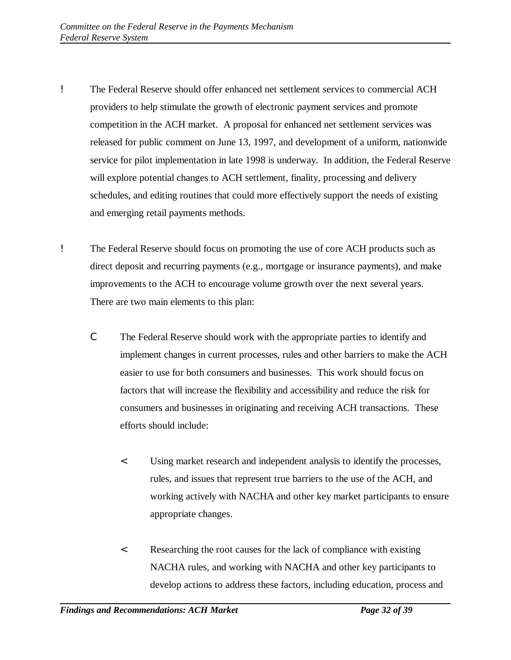- ! The Federal Reserve should offer enhanced net settlement services to commercial ACH providers to help stimulate the growth of electronic payment services and promote competition in the ACH market. A proposal for enhanced net settlement services was released for public comment on June 13, 1997, and development of a uniform, nationwide service for pilot implementation in late 1998 is underway. In addition, the Federal Reserve will explore potential changes to ACH settlement, finality, processing and delivery schedules, and editing routines that could more effectively support the needs of existing and emerging retail payments methods.
- ! The Federal Reserve should focus on promoting the use of core ACH products such as direct deposit and recurring payments (e.g., mortgage or insurance payments), and make improvements to the ACH to encourage volume growth over the next several years. There are two main elements to this plan:
	- C The Federal Reserve should work with the appropriate parties to identify and implement changes in current processes, rules and other barriers to make the ACH easier to use for both consumers and businesses. This work should focus on factors that will increase the flexibility and accessibility and reduce the risk for consumers and businesses in originating and receiving ACH transactions. These efforts should include:
		- < Using market research and independent analysis to identify the processes, rules, and issues that represent true barriers to the use of the ACH, and working actively with NACHA and other key market participants to ensure appropriate changes.
		- < Researching the root causes for the lack of compliance with existing NACHA rules, and working with NACHA and other key participants to develop actions to address these factors, including education, process and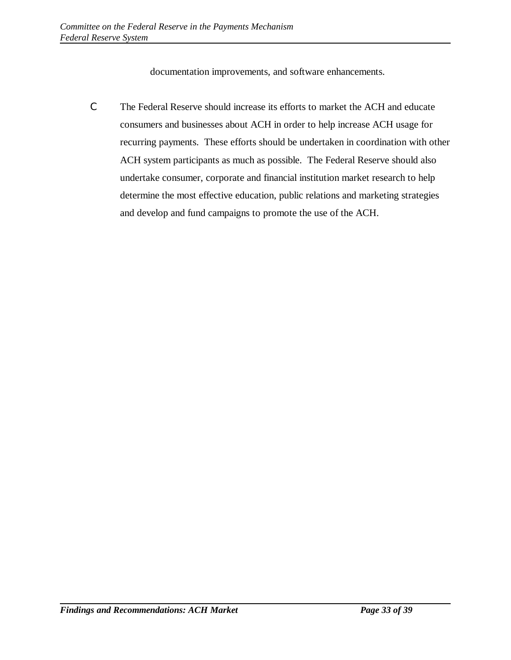documentation improvements, and software enhancements.

C The Federal Reserve should increase its efforts to market the ACH and educate consumers and businesses about ACH in order to help increase ACH usage for recurring payments. These efforts should be undertaken in coordination with other ACH system participants as much as possible. The Federal Reserve should also undertake consumer, corporate and financial institution market research to help determine the most effective education, public relations and marketing strategies and develop and fund campaigns to promote the use of the ACH.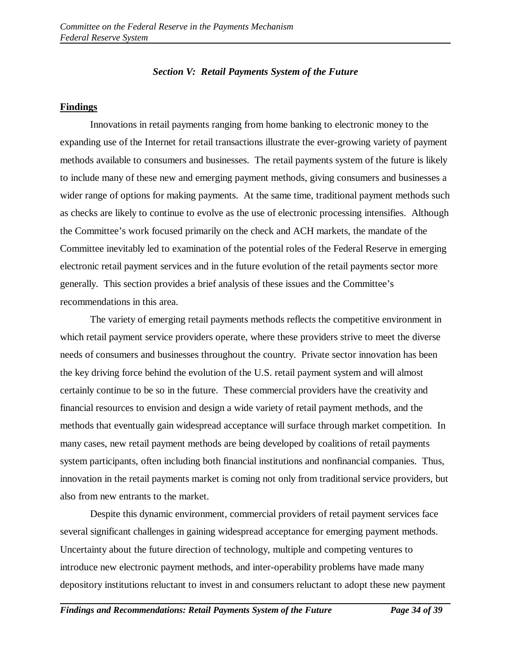### *Section V: Retail Payments System of the Future*

### **Findings**

Innovations in retail payments ranging from home banking to electronic money to the expanding use of the Internet for retail transactions illustrate the ever-growing variety of payment methods available to consumers and businesses. The retail payments system of the future is likely to include many of these new and emerging payment methods, giving consumers and businesses a wider range of options for making payments. At the same time, traditional payment methods such as checks are likely to continue to evolve as the use of electronic processing intensifies. Although the Committee's work focused primarily on the check and ACH markets, the mandate of the Committee inevitably led to examination of the potential roles of the Federal Reserve in emerging electronic retail payment services and in the future evolution of the retail payments sector more generally. This section provides a brief analysis of these issues and the Committee's recommendations in this area.

The variety of emerging retail payments methods reflects the competitive environment in which retail payment service providers operate, where these providers strive to meet the diverse needs of consumers and businesses throughout the country. Private sector innovation has been the key driving force behind the evolution of the U.S. retail payment system and will almost certainly continue to be so in the future. These commercial providers have the creativity and financial resources to envision and design a wide variety of retail payment methods, and the methods that eventually gain widespread acceptance will surface through market competition. In many cases, new retail payment methods are being developed by coalitions of retail payments system participants, often including both financial institutions and nonfinancial companies. Thus, innovation in the retail payments market is coming not only from traditional service providers, but also from new entrants to the market.

Despite this dynamic environment, commercial providers of retail payment services face several significant challenges in gaining widespread acceptance for emerging payment methods. Uncertainty about the future direction of technology, multiple and competing ventures to introduce new electronic payment methods, and inter-operability problems have made many depository institutions reluctant to invest in and consumers reluctant to adopt these new payment

*Findings and Recommendations: Retail Payments System of the Future Page 34 of 39*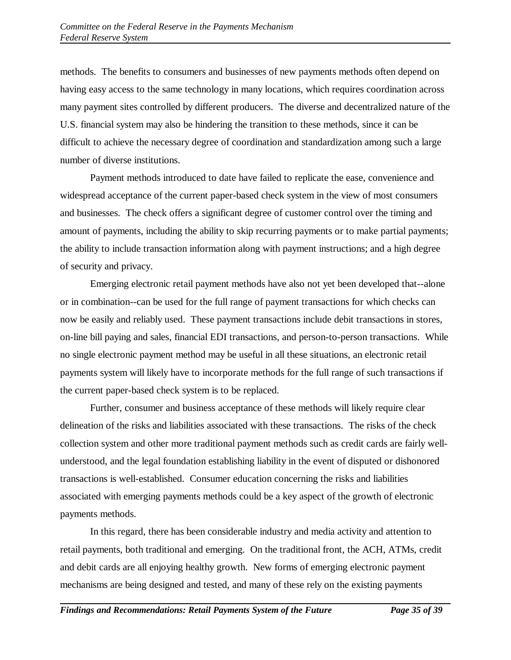methods. The benefits to consumers and businesses of new payments methods often depend on having easy access to the same technology in many locations, which requires coordination across many payment sites controlled by different producers. The diverse and decentralized nature of the U.S. financial system may also be hindering the transition to these methods, since it can be difficult to achieve the necessary degree of coordination and standardization among such a large number of diverse institutions.

Payment methods introduced to date have failed to replicate the ease, convenience and widespread acceptance of the current paper-based check system in the view of most consumers and businesses. The check offers a significant degree of customer control over the timing and amount of payments, including the ability to skip recurring payments or to make partial payments; the ability to include transaction information along with payment instructions; and a high degree of security and privacy.

Emerging electronic retail payment methods have also not yet been developed that--alone or in combination--can be used for the full range of payment transactions for which checks can now be easily and reliably used. These payment transactions include debit transactions in stores, on-line bill paying and sales, financial EDI transactions, and person-to-person transactions. While no single electronic payment method may be useful in all these situations, an electronic retail payments system will likely have to incorporate methods for the full range of such transactions if the current paper-based check system is to be replaced.

Further, consumer and business acceptance of these methods will likely require clear delineation of the risks and liabilities associated with these transactions. The risks of the check collection system and other more traditional payment methods such as credit cards are fairly wellunderstood, and the legal foundation establishing liability in the event of disputed or dishonored transactions is well-established. Consumer education concerning the risks and liabilities associated with emerging payments methods could be a key aspect of the growth of electronic payments methods.

In this regard, there has been considerable industry and media activity and attention to retail payments, both traditional and emerging. On the traditional front, the ACH, ATMs, credit and debit cards are all enjoying healthy growth. New forms of emerging electronic payment mechanisms are being designed and tested, and many of these rely on the existing payments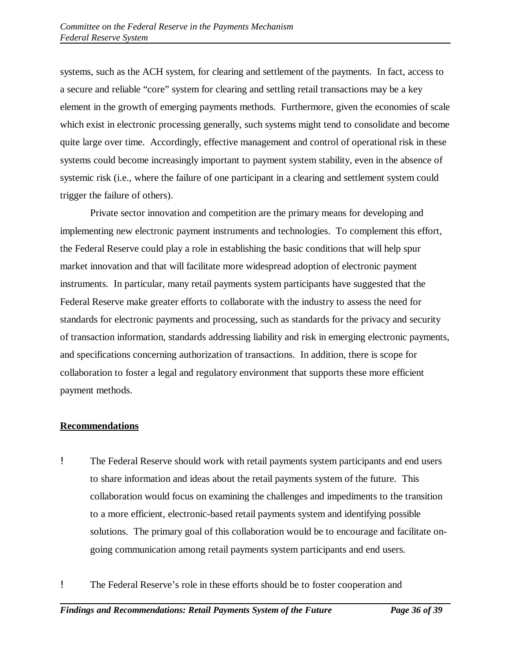systems, such as the ACH system, for clearing and settlement of the payments. In fact, access to a secure and reliable "core" system for clearing and settling retail transactions may be a key element in the growth of emerging payments methods. Furthermore, given the economies of scale which exist in electronic processing generally, such systems might tend to consolidate and become quite large over time. Accordingly, effective management and control of operational risk in these systems could become increasingly important to payment system stability, even in the absence of systemic risk (i.e., where the failure of one participant in a clearing and settlement system could trigger the failure of others).

Private sector innovation and competition are the primary means for developing and implementing new electronic payment instruments and technologies. To complement this effort, the Federal Reserve could play a role in establishing the basic conditions that will help spur market innovation and that will facilitate more widespread adoption of electronic payment instruments. In particular, many retail payments system participants have suggested that the Federal Reserve make greater efforts to collaborate with the industry to assess the need for standards for electronic payments and processing, such as standards for the privacy and security of transaction information, standards addressing liability and risk in emerging electronic payments, and specifications concerning authorization of transactions. In addition, there is scope for collaboration to foster a legal and regulatory environment that supports these more efficient payment methods.

## **Recommendations**

- ! The Federal Reserve should work with retail payments system participants and end users to share information and ideas about the retail payments system of the future. This collaboration would focus on examining the challenges and impediments to the transition to a more efficient, electronic-based retail payments system and identifying possible solutions. The primary goal of this collaboration would be to encourage and facilitate ongoing communication among retail payments system participants and end users.
- ! The Federal Reserve's role in these efforts should be to foster cooperation and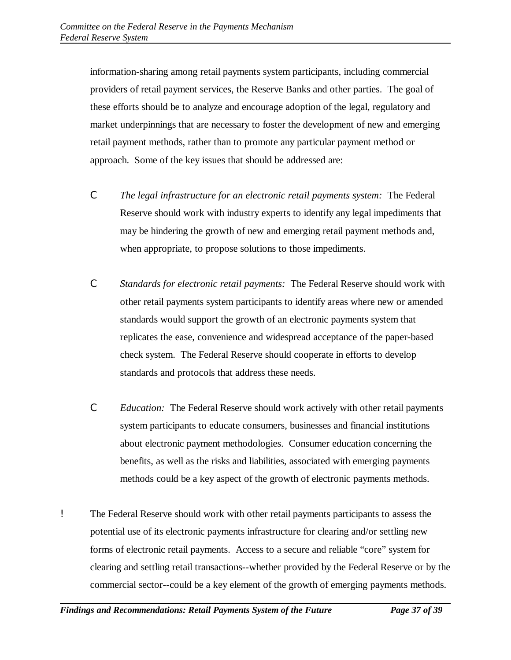information-sharing among retail payments system participants, including commercial providers of retail payment services, the Reserve Banks and other parties. The goal of these efforts should be to analyze and encourage adoption of the legal, regulatory and market underpinnings that are necessary to foster the development of new and emerging retail payment methods, rather than to promote any particular payment method or approach. Some of the key issues that should be addressed are:

- C *The legal infrastructure for an electronic retail payments system:* The Federal Reserve should work with industry experts to identify any legal impediments that may be hindering the growth of new and emerging retail payment methods and, when appropriate, to propose solutions to those impediments.
- C *Standards for electronic retail payments:* The Federal Reserve should work with other retail payments system participants to identify areas where new or amended standards would support the growth of an electronic payments system that replicates the ease, convenience and widespread acceptance of the paper-based check system. The Federal Reserve should cooperate in efforts to develop standards and protocols that address these needs.
- C *Education:* The Federal Reserve should work actively with other retail payments system participants to educate consumers, businesses and financial institutions about electronic payment methodologies. Consumer education concerning the benefits, as well as the risks and liabilities, associated with emerging payments methods could be a key aspect of the growth of electronic payments methods.
- ! The Federal Reserve should work with other retail payments participants to assess the potential use of its electronic payments infrastructure for clearing and/or settling new forms of electronic retail payments. Access to a secure and reliable "core" system for clearing and settling retail transactions--whether provided by the Federal Reserve or by the commercial sector--could be a key element of the growth of emerging payments methods.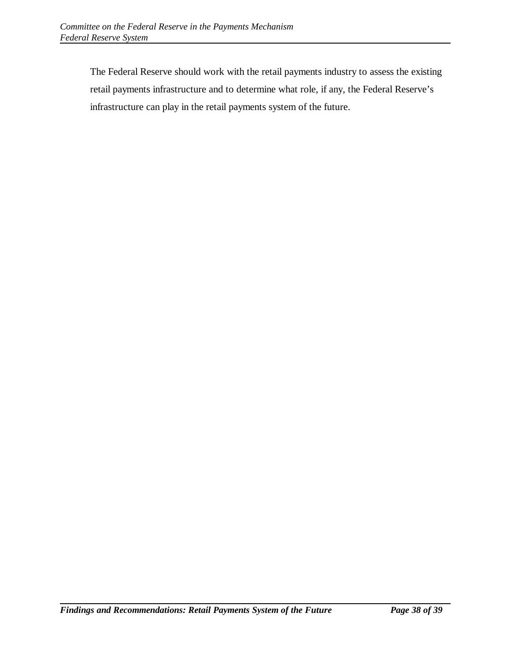The Federal Reserve should work with the retail payments industry to assess the existing retail payments infrastructure and to determine what role, if any, the Federal Reserve's infrastructure can play in the retail payments system of the future.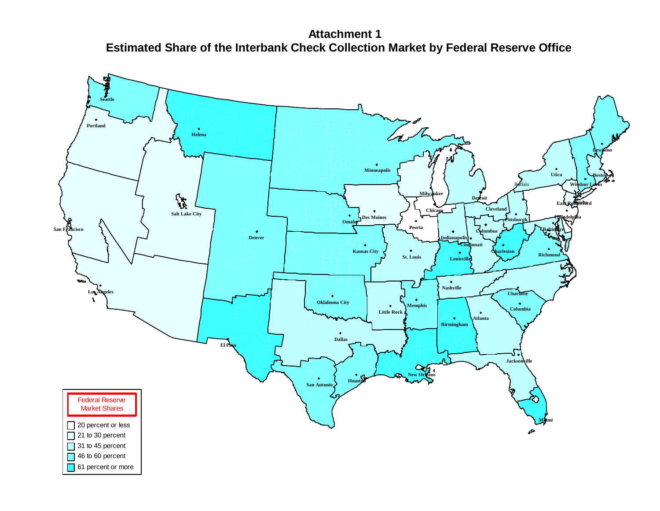**Attachment 1 Estimated Share of the Interbank Check Collection Market by Federal Reserve Office**